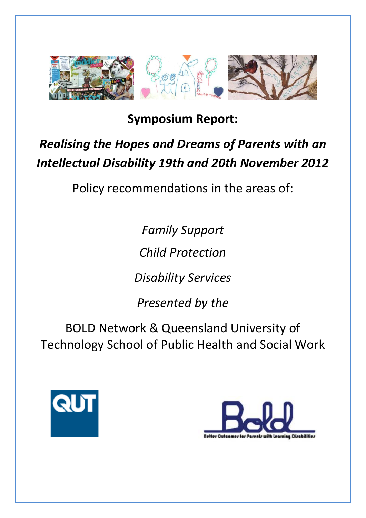

**Symposium Report:**

# *Realising the Hopes and Dreams of Parents with an Intellectual Disability 19th and 20th November 2012*

Policy recommendations in the areas of:

*Family Support*

*Child Protection*

*Disability Services*

*Presented by the*

BOLD Network & Queensland University of Technology School of Public Health and Social Work



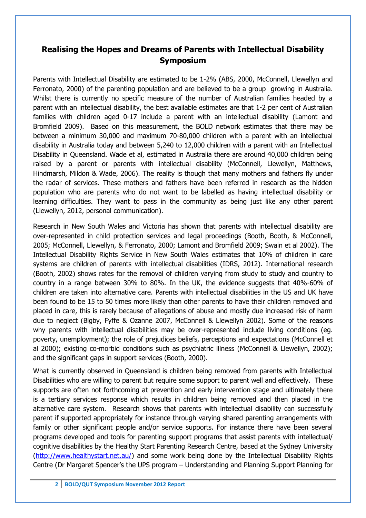## **Realising the Hopes and Dreams of Parents with Intellectual Disability Symposium**

Parents with Intellectual Disability are estimated to be 1-2% (ABS, 2000, McConnell, Llewellyn and Ferronato, 2000) of the parenting population and are believed to be a group growing in Australia. Whilst there is currently no specific measure of the number of Australian families headed by a parent with an intellectual disability, the best available estimates are that 1-2 per cent of Australian families with children aged 0-17 include a parent with an intellectual disability (Lamont and Bromfield 2009). Based on this measurement, the BOLD network estimates that there may be between a minimum 30,000 and maximum 70-80,000 children with a parent with an intellectual disability in Australia today and between 5,240 to 12,000 children with a parent with an Intellectual Disability in Queensland. Wade et al, estimated in Australia there are around 40,000 children being raised by a parent or parents with intellectual disability (McConnell, Llewellyn, Matthews, Hindmarsh, Mildon & Wade, 2006). The reality is though that many mothers and fathers fly under the radar of services. These mothers and fathers have been referred in research as the hidden population who are parents who do not want to be labelled as having intellectual disability or learning difficulties. They want to pass in the community as being just like any other parent (Llewellyn, 2012, personal communication).

Research in New South Wales and Victoria has shown that parents with intellectual disability are over-represented in child protection services and legal proceedings (Booth, Booth, & McConnell, 2005; McConnell, Llewellyn, & Ferronato, 2000; Lamont and Bromfield 2009; Swain et al 2002). The Intellectual Disability Rights Service in New South Wales estimates that 10% of children in care systems are children of parents with intellectual disabilities (IDRS, 2012). International research (Booth, 2002) shows rates for the removal of children varying from study to study and country to country in a range between 30% to 80%. In the UK, the evidence suggests that 40%-60% of children are taken into alternative care. Parents with intellectual disabilities in the US and UK have been found to be 15 to 50 times more likely than other parents to have their children removed and placed in care, this is rarely because of allegations of abuse and mostly due increased risk of harm due to neglect (Bigby, Fyffe & Ozanne 2007, McConnell & Llewellyn 2002). Some of the reasons why parents with intellectual disabilities may be over-represented include living conditions (eg. poverty, unemployment); the role of prejudices beliefs, perceptions and expectations (McConnell et al 2000); existing co-morbid conditions such as psychiatric illness (McConnell & Llewellyn, 2002); and the significant gaps in support services (Booth, 2000).

What is currently observed in Queensland is children being removed from parents with Intellectual Disabilities who are willing to parent but require some support to parent well and effectively. These supports are often not forthcoming at prevention and early intervention stage and ultimately there is a tertiary services response which results in children being removed and then placed in the alternative care system. Research shows that parents with intellectual disability can successfully parent if supported appropriately for instance through varying shared parenting arrangements with family or other significant people and/or service supports. For instance there have been several programs developed and tools for parenting support programs that assist parents with intellectual/ cognitive disabilities by the Healthy Start Parenting Research Centre, based at the Sydney University [\(http://www.healthystart.net.au/\)](http://www.healthystart.net.au/) and some work being done by the Intellectual Disability Rights Centre (Dr Margaret Spencer's the UPS program – Understanding and Planning Support Planning for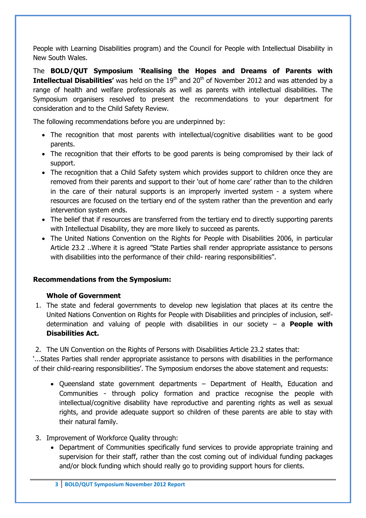People with Learning Disabilities program) and the Council for People with Intellectual Disability in New South Wales.

The **BOLD/QUT Symposium 'Realising the Hopes and Dreams of Parents with Intellectual Disabilities'** was held on the 19<sup>th</sup> and 20<sup>th</sup> of November 2012 and was attended by a range of health and welfare professionals as well as parents with intellectual disabilities. The Symposium organisers resolved to present the recommendations to your department for consideration and to the Child Safety Review.

The following recommendations before you are underpinned by:

- The recognition that most parents with intellectual/cognitive disabilities want to be good parents.
- The recognition that their efforts to be good parents is being compromised by their lack of support.
- The recognition that a Child Safety system which provides support to children once they are removed from their parents and support to their 'out of home care' rather than to the children in the care of their natural supports is an improperly inverted system - a system where resources are focused on the tertiary end of the system rather than the prevention and early intervention system ends.
- The belief that if resources are transferred from the tertiary end to directly supporting parents with Intellectual Disability, they are more likely to succeed as parents.
- The United Nations Convention on the Rights for People with Disabilities 2006, in particular Article 23.2 ..Where it is agreed "State Parties shall render appropriate assistance to persons with disabilities into the performance of their child- rearing responsibilities".

#### **Recommendations from the Symposium:**

#### **Whole of Government**

- 1. The state and federal governments to develop new legislation that places at its centre the United Nations Convention on Rights for People with Disabilities and principles of inclusion, selfdetermination and valuing of people with disabilities in our society – a **People with Disabilities Act.**
- 2. The UN Convention on the Rights of Persons with Disabilities Article 23.2 states that:

'...States Parties shall render appropriate assistance to persons with disabilities in the performance of their child-rearing responsibilities'. The Symposium endorses the above statement and requests:

- Queensland state government departments Department of Health, Education and Communities - through policy formation and practice recognise the people with intellectual/cognitive disability have reproductive and parenting rights as well as sexual rights, and provide adequate support so children of these parents are able to stay with their natural family.
- 3. Improvement of Workforce Quality through:
	- Department of Communities specifically fund services to provide appropriate training and supervision for their staff, rather than the cost coming out of individual funding packages and/or block funding which should really go to providing support hours for clients.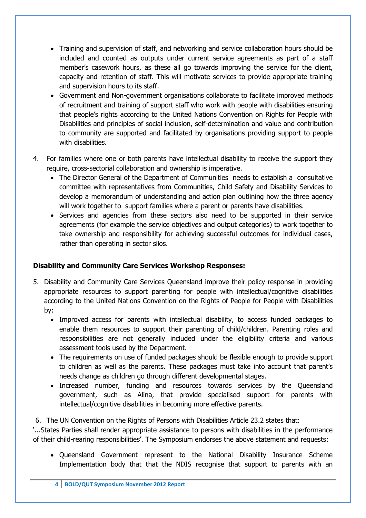- Training and supervision of staff, and networking and service collaboration hours should be included and counted as outputs under current service agreements as part of a staff member's casework hours, as these all go towards improving the service for the client, capacity and retention of staff. This will motivate services to provide appropriate training and supervision hours to its staff.
- Government and Non-government organisations collaborate to facilitate improved methods of recruitment and training of support staff who work with people with disabilities ensuring that people's rights according to the United Nations Convention on Rights for People with Disabilities and principles of social inclusion, self-determination and value and contribution to community are supported and facilitated by organisations providing support to people with disabilities.
- 4. For families where one or both parents have intellectual disability to receive the support they require, cross-sectorial collaboration and ownership is imperative.
	- The Director General of the Department of Communities needs to establish a consultative committee with representatives from Communities, Child Safety and Disability Services to develop a memorandum of understanding and action plan outlining how the three agency will work together to support families where a parent or parents have disabilities.
	- Services and agencies from these sectors also need to be supported in their service agreements (for example the service objectives and output categories) to work together to take ownership and responsibility for achieving successful outcomes for individual cases, rather than operating in sector silos.

#### **Disability and Community Care Services Workshop Responses:**

- 5. Disability and Community Care Services Queensland improve their policy response in providing appropriate resources to support parenting for people with intellectual/cognitive disabilities according to the United Nations Convention on the Rights of People for People with Disabilities by:
	- Improved access for parents with intellectual disability, to access funded packages to enable them resources to support their parenting of child/children. Parenting roles and responsibilities are not generally included under the eligibility criteria and various assessment tools used by the Department.
	- The requirements on use of funded packages should be flexible enough to provide support to children as well as the parents. These packages must take into account that parent's needs change as children go through different developmental stages.
	- Increased number, funding and resources towards services by the Queensland government, such as Alina, that provide specialised support for parents with intellectual/cognitive disabilities in becoming more effective parents.

6. The UN Convention on the Rights of Persons with Disabilities Article 23.2 states that:

'...States Parties shall render appropriate assistance to persons with disabilities in the performance of their child-rearing responsibilities'. The Symposium endorses the above statement and requests:

• Oueensland Government represent to the National Disability Insurance Scheme Implementation body that that the NDIS recognise that support to parents with an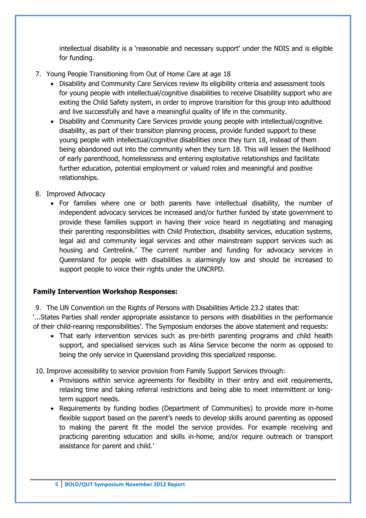intellectual disability is a 'reasonable and necessary support' under the NDIS and is eligible for funding.

- 7. Young People Transitioning from Out of Home Care at age 18
	- Disability and Community Care Services review its eligibility criteria and assessment tools for young people with intellectual/cognitive disabilities to receive Disability support who are exiting the Child Safety system, in order to improve transition for this group into adulthood and live successfully and have a meaningful quality of life in the community.
	- Disability and Community Care Services provide young people with intellectual/cognitive disability, as part of their transition planning process, provide funded support to these young people with intellectual/cognitive disabilities once they turn 18, instead of them being abandoned out into the community when they turn 18. This will lessen the likelihood of early parenthood, homelessness and entering exploitative relationships and facilitate further education, potential employment or valued roles and meaningful and positive relationships.
- 8. Improved Advocacy
	- For families where one or both parents have intellectual disability, the number of independent advocacy services be increased and/or further funded by state government to provide these families support in having their voice heard in negotiating and managing their parenting responsibilities with Child Protection, disability services, education systems, legal aid and community legal services and other mainstream support services such as housing and Centrelink.' The current number and funding for advocacy services in Queensland for people with disabilities is alarmingly low and should be increased to support people to voice their rights under the UNCRPD.

#### **Family Intervention Workshop Responses:**

9. The UN Convention on the Rights of Persons with Disabilities Article 23.2 states that:

'...States Parties shall render appropriate assistance to persons with disabilities in the performance of their child-rearing responsibilities'. The Symposium endorses the above statement and requests:

• That early intervention services such as pre-birth parenting programs and child health support, and specialised services such as Alina Service become the norm as opposed to being the only service in Queensland providing this specialized response.

10. Improve accessibility to service provision from Family Support Services through:

- Provisions within service agreements for flexibility in their entry and exit requirements, relaxing time and taking referral restrictions and being able to meet intermittent or longterm support needs.
- Requirements by funding bodies (Department of Communities) to provide more in-home flexible support based on the parent's needs to develop skills around parenting as opposed to making the parent fit the model the service provides. For example receiving and practicing parenting education and skills in-home, and/or require outreach or transport assistance for parent and child.'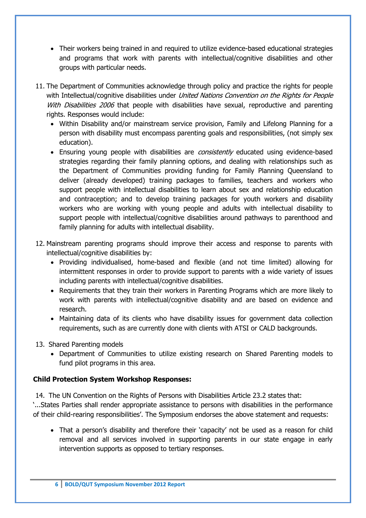- Their workers being trained in and required to utilize evidence-based educational strategies and programs that work with parents with intellectual/cognitive disabilities and other groups with particular needs.
- 11. The Department of Communities acknowledge through policy and practice the rights for people with Intellectual/cognitive disabilities under *United Nations Convention on the Rights for People* With Disabilities 2006 that people with disabilities have sexual, reproductive and parenting rights. Responses would include:
	- Within Disability and/or mainstream service provision, Family and Lifelong Planning for a person with disability must encompass parenting goals and responsibilities, (not simply sex education).
	- Ensuring young people with disabilities are *consistently* educated using evidence-based strategies regarding their family planning options, and dealing with relationships such as the Department of Communities providing funding for Family Planning Queensland to deliver (already developed) training packages to families, teachers and workers who support people with intellectual disabilities to learn about sex and relationship education and contraception; and to develop training packages for youth workers and disability workers who are working with young people and adults with intellectual disability to support people with intellectual/cognitive disabilities around pathways to parenthood and family planning for adults with intellectual disability.
- 12. Mainstream parenting programs should improve their access and response to parents with intellectual/cognitive disabilities by:
	- Providing individualised, home-based and flexible (and not time limited) allowing for intermittent responses in order to provide support to parents with a wide variety of issues including parents with intellectual/cognitive disabilities.
	- Requirements that they train their workers in Parenting Programs which are more likely to work with parents with intellectual/cognitive disability and are based on evidence and research.
	- Maintaining data of its clients who have disability issues for government data collection requirements, such as are currently done with clients with ATSI or CALD backgrounds.
- 13. Shared Parenting models
	- Department of Communities to utilize existing research on Shared Parenting models to fund pilot programs in this area.

#### **Child Protection System Workshop Responses:**

14. The UN Convention on the Rights of Persons with Disabilities Article 23.2 states that:

'...States Parties shall render appropriate assistance to persons with disabilities in the performance of their child-rearing responsibilities'. The Symposium endorses the above statement and requests:

 That a person's disability and therefore their 'capacity' not be used as a reason for child removal and all services involved in supporting parents in our state engage in early intervention supports as opposed to tertiary responses.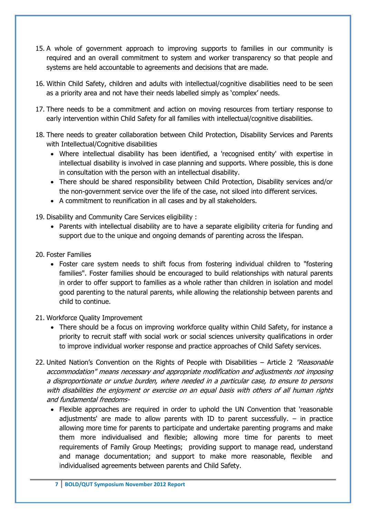- 15. A whole of government approach to improving supports to families in our community is required and an overall commitment to system and worker transparency so that people and systems are held accountable to agreements and decisions that are made.
- 16. Within Child Safety, children and adults with intellectual/cognitive disabilities need to be seen as a priority area and not have their needs labelled simply as 'complex' needs.
- 17. There needs to be a commitment and action on moving resources from tertiary response to early intervention within Child Safety for all families with intellectual/cognitive disabilities.
- 18. There needs to greater collaboration between Child Protection, Disability Services and Parents with Intellectual/Cognitive disabilities
	- Where intellectual disability has been identified, a 'recognised entity' with expertise in intellectual disability is involved in case planning and supports. Where possible, this is done in consultation with the person with an intellectual disability.
	- There should be shared responsibility between Child Protection, Disability services and/or the non-government service over the life of the case, not siloed into different services.
	- A commitment to reunification in all cases and by all stakeholders.
- 19. Disability and Community Care Services eligibility :
	- Parents with intellectual disability are to have a separate eligibility criteria for funding and support due to the unique and ongoing demands of parenting across the lifespan.
- 20. Foster Families
	- Foster care system needs to shift focus from fostering individual children to "fostering families". Foster families should be encouraged to build relationships with natural parents in order to offer support to families as a whole rather than children in isolation and model good parenting to the natural parents, while allowing the relationship between parents and child to continue.
- 21. Workforce Quality Improvement
	- There should be a focus on improving workforce quality within Child Safety, for instance a priority to recruit staff with social work or social sciences university qualifications in order to improve individual worker response and practice approaches of Child Safety services.
- 22. United Nation's Convention on the Rights of People with Disabilities Article 2 "Reasonable accommodation" means necessary and appropriate modification and adjustments not imposing a disproportionate or undue burden, where needed in a particular case, to ensure to persons with disabilities the enjoyment or exercise on an equal basis with others of all human rights and fundamental freedoms-
	- Flexible approaches are required in order to uphold the UN Convention that 'reasonable adjustments' are made to allow parents with ID to parent successfully. – in practice allowing more time for parents to participate and undertake parenting programs and make them more individualised and flexible; allowing more time for parents to meet requirements of Family Group Meetings; providing support to manage read, understand and manage documentation; and support to make more reasonable, flexible and individualised agreements between parents and Child Safety.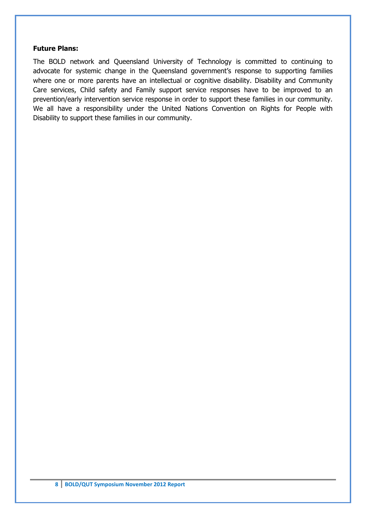#### **Future Plans:**

The BOLD network and Queensland University of Technology is committed to continuing to advocate for systemic change in the Queensland government's response to supporting families where one or more parents have an intellectual or cognitive disability. Disability and Community Care services, Child safety and Family support service responses have to be improved to an prevention/early intervention service response in order to support these families in our community. We all have a responsibility under the United Nations Convention on Rights for People with Disability to support these families in our community.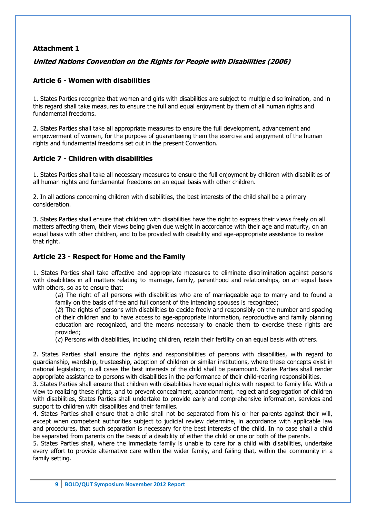#### **Attachment 1**

#### **United Nations Convention on the Rights for People with Disabilities (2006)**

#### **Article 6 - Women with disabilities**

1. States Parties recognize that women and girls with disabilities are subject to multiple discrimination, and in this regard shall take measures to ensure the full and equal enjoyment by them of all human rights and fundamental freedoms.

2. States Parties shall take all appropriate measures to ensure the full development, advancement and empowerment of women, for the purpose of guaranteeing them the exercise and enjoyment of the human rights and fundamental freedoms set out in the present Convention.

#### **Article 7 - Children with disabilities**

1. States Parties shall take all necessary measures to ensure the full enjoyment by children with disabilities of all human rights and fundamental freedoms on an equal basis with other children.

2. In all actions concerning children with disabilities, the best interests of the child shall be a primary consideration.

3. States Parties shall ensure that children with disabilities have the right to express their views freely on all matters affecting them, their views being given due weight in accordance with their age and maturity, on an equal basis with other children, and to be provided with disability and age-appropriate assistance to realize that right.

#### **Article 23 - Respect for Home and the Family**

1. States Parties shall take effective and appropriate measures to eliminate discrimination against persons with disabilities in all matters relating to marriage, family, parenthood and relationships, on an equal basis with others, so as to ensure that:

 $(a)$  The right of all persons with disabilities who are of marriageable age to marry and to found a family on the basis of free and full consent of the intending spouses is recognized;

 $(b)$  The rights of persons with disabilities to decide freely and responsibly on the number and spacing of their children and to have access to age-appropriate information, reproductive and family planning education are recognized, and the means necessary to enable them to exercise these rights are provided;

 $(c)$  Persons with disabilities, including children, retain their fertility on an equal basis with others.

2. States Parties shall ensure the rights and responsibilities of persons with disabilities, with regard to guardianship, wardship, trusteeship, adoption of children or similar institutions, where these concepts exist in national legislation; in all cases the best interests of the child shall be paramount. States Parties shall render appropriate assistance to persons with disabilities in the performance of their child-rearing responsibilities.

3. States Parties shall ensure that children with disabilities have equal rights with respect to family life. With a view to realizing these rights, and to prevent concealment, abandonment, neglect and segregation of children with disabilities, States Parties shall undertake to provide early and comprehensive information, services and support to children with disabilities and their families.

4. States Parties shall ensure that a child shall not be separated from his or her parents against their will, except when competent authorities subject to judicial review determine, in accordance with applicable law and procedures, that such separation is necessary for the best interests of the child. In no case shall a child be separated from parents on the basis of a disability of either the child or one or both of the parents.

5. States Parties shall, where the immediate family is unable to care for a child with disabilities, undertake every effort to provide alternative care within the wider family, and failing that, within the community in a family setting.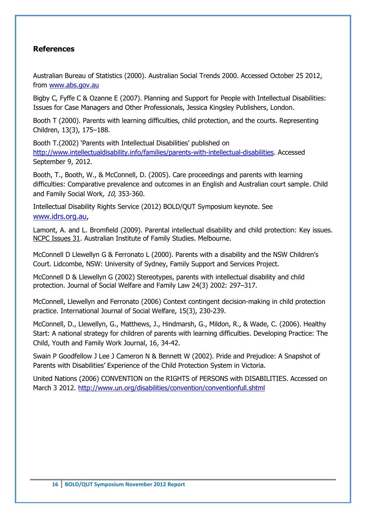#### **References**

Australian Bureau of Statistics (2000). Australian Social Trends 2000. Accessed October 25 2012, from [www.abs.gov.au](http://www.abs.gov.au/)

Bigby C, Fyffe C & Ozanne E (2007). Planning and Support for People with Intellectual Disabilities: Issues for Case Managers and Other Professionals, Jessica Kingsley Publishers, London.

Booth T (2000). Parents with learning difficulties, child protection, and the courts. Representing Children, 13(3), 175–188.

Booth T.(2002) 'Parents with Intellectual Disabilities' published on [http://www.intellectualdisability.info/families/parents-with-intellectual-disabilities.](http://www.intellectualdisability.info/families/parents-with-intellectual-disabilities) Accessed September 9, 2012.

Booth, T., Booth, W., & McConnell, D. (2005). Care proceedings and parents with learning difficulties: Comparative prevalence and outcomes in an English and Australian court sample. Child and Family Social Work, 10, 353-360.

Intellectual Disability Rights Service (2012) BOLD/QUT Symposium keynote. See [www.idrs.org.au,](http://www.idrs.org.au/)

Lamont, A. and L. Bromfield (2009). Parental intellectual disability and child protection: Key issues. NCPC Issues 31. Australian Institute of Family Studies. Melbourne.

McConnell D Llewellyn G & Ferronato L (2000). Parents with a disability and the NSW Children's Court. Lidcombe, NSW: University of Sydney, Family Support and Services Project.

McConnell D & Llewellyn G (2002) Stereotypes, parents with intellectual disability and child protection. Journal of Social Welfare and Family Law 24(3) 2002: 297–317.

McConnell, Llewellyn and Ferronato (2006) Context contingent decision-making in child protection practice. International Journal of Social Welfare, 15(3), 230-239.

McConnell, D., Llewellyn, G., Matthews, J., Hindmarsh, G., Mildon, R., & Wade, C. (2006). Healthy Start: A national strategy for children of parents with learning difficulties. Developing Practice: The Child, Youth and Family Work Journal, 16, 34-42.

Swain P Goodfellow J Lee J Cameron N & Bennett W (2002). Pride and Prejudice: A Snapshot of Parents with Disabilities' Experience of the Child Protection System in Victoria.

United Nations (2006) CONVENTION on the RIGHTS of PERSONS with DISABILITIES. Accessed on March 3 2012. <http://www.un.org/disabilities/convention/conventionfull.shtml>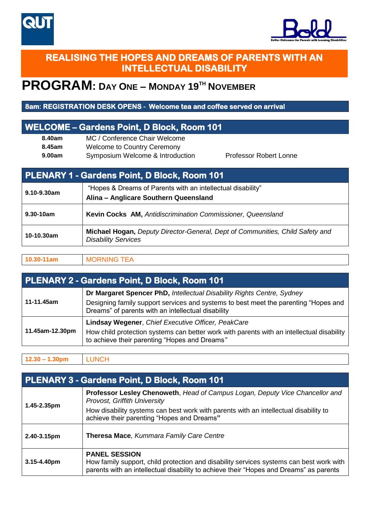



## **REALISING THE HOPES AND DREAMS OF PARENTS WITH AN INTELLECTUAL DISABILITY**

## **PROGRAM: DAY ONE – MONDAY 19 TH NOVEMBER**

#### **8am: REGISTRATION DESK OPENS - Welcome tea and coffee served on arrival**

### **WELCOME – Gardens Point, D Block, Room 101**

**8.40am** MC / Conference Chair Welcome **8.45am** Welcome to Country Ceremony **9.00am** Symposium Welcome & Introduction Professor Robert Lonne

| PLENARY 1 - Gardens Point, D Block, Room 101 |                                                                                                             |  |
|----------------------------------------------|-------------------------------------------------------------------------------------------------------------|--|
| 9.10-9.30am                                  | "Hopes & Dreams of Parents with an intellectual disability"<br>Alina - Anglicare Southern Queensland        |  |
| $9.30 - 10$ am                               | Kevin Cocks AM, Antidiscrimination Commissioner, Queensland                                                 |  |
| 10-10.30am                                   | Michael Hogan, Deputy Director-General, Dept of Communities, Child Safety and<br><b>Disability Services</b> |  |

#### **10.30-11am** MORNING TEA

| PLENARY 2 - Gardens Point, D Block, Room 101 |                                                                                                                                                                                                                     |  |
|----------------------------------------------|---------------------------------------------------------------------------------------------------------------------------------------------------------------------------------------------------------------------|--|
| 11-11.45am                                   | Dr Margaret Spencer PhD, Intellectual Disability Rights Centre, Sydney<br>Designing family support services and systems to best meet the parenting "Hopes and<br>Dreams" of parents with an intellectual disability |  |
| 11.45am-12.30pm                              | Lindsay Wegener, Chief Executive Officer, PeakCare<br>How child protection systems can better work with parents with an intellectual disability<br>to achieve their parenting "Hopes and Dreams"                    |  |

**12.30 – 1.30pm** LUNCH

| PLENARY 3 - Gardens Point, D Block, Room 101 |                                                                                                                                                                                                                                                    |  |
|----------------------------------------------|----------------------------------------------------------------------------------------------------------------------------------------------------------------------------------------------------------------------------------------------------|--|
| 1.45-2.35pm                                  | Professor Lesley Chenoweth, Head of Campus Logan, Deputy Vice Chancellor and<br>Provost, Griffith University<br>How disability systems can best work with parents with an intellectual disability to<br>achieve their parenting "Hopes and Dreams" |  |
| 2.40-3.15pm                                  | Theresa Mace, Kummara Family Care Centre                                                                                                                                                                                                           |  |
| $3.15 - 4.40$ pm                             | <b>PANEL SESSION</b><br>How family support, child protection and disability services systems can best work with<br>parents with an intellectual disability to achieve their "Hopes and Dreams" as parents                                          |  |